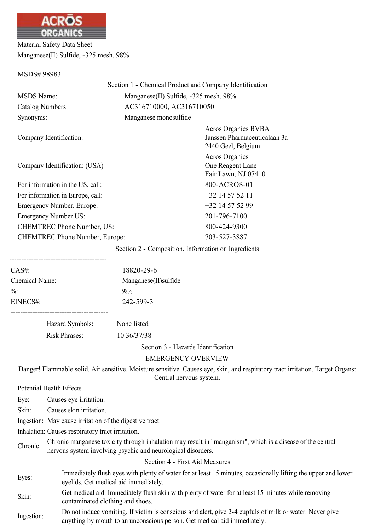

Material Safety Data Sheet Manganese(II) Sulfide, -325 mesh, 98%

#### MSDS# 98983

|                                       | Section 1 - Chemical Product and Company Identification |                                                                                  |  |  |
|---------------------------------------|---------------------------------------------------------|----------------------------------------------------------------------------------|--|--|
| <b>MSDS</b> Name:                     | Manganese(II) Sulfide, -325 mesh, 98%                   |                                                                                  |  |  |
| Catalog Numbers:                      |                                                         | AC316710000, AC316710050                                                         |  |  |
| Synonyms:                             | Manganese monosulfide                                   |                                                                                  |  |  |
| Company Identification:               |                                                         | <b>Acros Organics BVBA</b><br>Janssen Pharmaceuticalaan 3a<br>2440 Geel, Belgium |  |  |
| Company Identification: (USA)         |                                                         | Acros Organics<br>One Reagent Lane<br>Fair Lawn, NJ 07410                        |  |  |
| For information in the US, call:      |                                                         | 800-ACROS-01                                                                     |  |  |
| For information in Europe, call:      |                                                         | $+32$ 14 57 52 11                                                                |  |  |
| Emergency Number, Europe:             |                                                         | +32 14 57 52 99                                                                  |  |  |
| <b>Emergency Number US:</b>           |                                                         | 201-796-7100                                                                     |  |  |
| <b>CHEMTREC Phone Number, US:</b>     |                                                         | 800-424-9300                                                                     |  |  |
| <b>CHEMTREC Phone Number, Europe:</b> |                                                         | 703-527-3887                                                                     |  |  |
|                                       |                                                         |                                                                                  |  |  |

Section 2 - Composition, Information on Ingredients

| CAS#            | 18820-29-6            |
|-----------------|-----------------------|
| Chemical Name:  | Manganese(II) sulfide |
| $\frac{0}{0}$ . | 98%                   |
| EINECS#:        | 242-599-3             |
|                 |                       |

Hazard Symbols: None listed Risk Phrases: 10 36/37/38

Section 3 - Hazards Identification

EMERGENCY OVERVIEW

Danger! Flammable solid. Air sensitive. Moisture sensitive. Causes eye, skin, and respiratory tract irritation. Target Organs: Central nervous system.

Potential Health Effects

Eye: Causes eye irritation.

Skin: Causes skin irritation.

Ingestion: May cause irritation of the digestive tract.

Inhalation: Causes respiratory tract irritation.

Chronic: Chronic manganese toxicity through inhalation may result in "manganism", which is a disease of the central nervous system involving psychic and neurological disorders.

#### Section 4 - First Aid Measures

- Eyes: Immediately flush eyes with plenty of water for at least 15 minutes, occasionally lifting the upper and lower eyelids. Get medical aid immediately.
- Skin: Get medical aid. Immediately flush skin with plenty of water for at least 15 minutes while removing contaminated clothing and shoes.
- Ingestion: Do not induce vomiting. If victim is conscious and alert, give 2-4 cupfuls of milk or water. Never give anything by mouth to an unconscious person. Get medical aid immediately.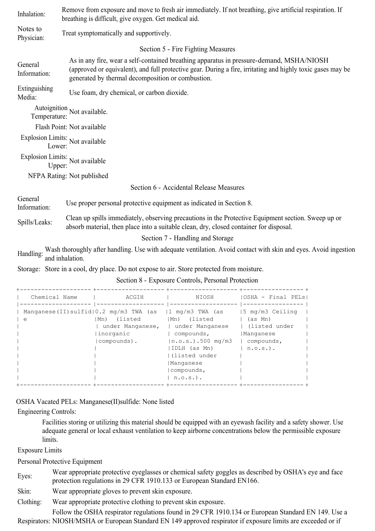| Inhalation:             | Remove from exposure and move to fresh air immediately. If not breathing, give artificial respiration. If<br>breathing is difficult, give oxygen. Get medical aid.                                                                                           |  |  |  |  |
|-------------------------|--------------------------------------------------------------------------------------------------------------------------------------------------------------------------------------------------------------------------------------------------------------|--|--|--|--|
| Notes to<br>Physician:  | Treat symptomatically and supportively.                                                                                                                                                                                                                      |  |  |  |  |
|                         | Section 5 - Fire Fighting Measures                                                                                                                                                                                                                           |  |  |  |  |
| General<br>Information: | As in any fire, wear a self-contained breathing apparatus in pressure-demand, MSHA/NIOSH<br>(approved or equivalent), and full protective gear. During a fire, irritating and highly toxic gases may be<br>generated by thermal decomposition or combustion. |  |  |  |  |
| Extinguishing<br>Media: | Use foam, dry chemical, or carbon dioxide.                                                                                                                                                                                                                   |  |  |  |  |
| Temperature:            | Autoignition Not available.                                                                                                                                                                                                                                  |  |  |  |  |
|                         | Flash Point: Not available                                                                                                                                                                                                                                   |  |  |  |  |
|                         | Explosion Limits: Not available<br>Lower:                                                                                                                                                                                                                    |  |  |  |  |
| Upper:                  | Explosion Limits: Not available                                                                                                                                                                                                                              |  |  |  |  |
|                         | NFPA Rating: Not published                                                                                                                                                                                                                                   |  |  |  |  |
|                         | Section 6 - Accidental Release Measures                                                                                                                                                                                                                      |  |  |  |  |
| General<br>Information: | Use proper personal protective equipment as indicated in Section 8.                                                                                                                                                                                          |  |  |  |  |
| Spills/Leaks:           | Clean up spills immediately, observing precautions in the Protective Equipment section. Sweep up or<br>absorb material, then place into a suitable clean, dry, closed container for disposal.                                                                |  |  |  |  |
|                         | Section 7 - Handling and Storage                                                                                                                                                                                                                             |  |  |  |  |
|                         | Wash thoroughly after handling. Use with adequate ventilation. Avoid contact with skin and eyes. Avoid ingestion                                                                                                                                             |  |  |  |  |

Handling: Wash thoroughly after handling. Use with adequate ventilation. Avoid contact with skin and eyes. Avoid ingestion and inhalation.

Storage: Store in a cool, dry place. Do not expose to air. Store protected from moisture.

Section 8 - Exposure Controls, Personal Protection

| Chemical Name | ACGIH                                                                | NIOSH                | $ OSHA - Final PELS $ |
|---------------|----------------------------------------------------------------------|----------------------|-----------------------|
|               |                                                                      |                      |                       |
|               | Manganese(II) sulfid( $0.2 \text{ mg/m}$ 3 TWA (as   1 mg/m3 TWA (as |                      | 5 mg/m3 Ceiling       |
| e             | (listed<br> Mn)                                                      | (Mn) (listed         | (as Mn)               |
|               | under Manganese,                                                     | under Manganese      | l (listed under       |
|               | inorganic                                                            | compounds,           | Manganese             |
|               | compounds).                                                          | $n.o.s.$ ).500 mg/m3 | compounds,            |
|               |                                                                      | IDLH (as Mn)         | $n.o.s.$ ).           |
|               |                                                                      | l(listed under       |                       |
|               |                                                                      | Manganese            |                       |
|               |                                                                      | compounds,           |                       |
|               |                                                                      | n.o.s.).             |                       |
|               |                                                                      |                      |                       |

OSHA Vacated PELs: Manganese(II)sulfide: None listed

Engineering Controls:

Facilities storing or utilizing this material should be equipped with an eyewash facility and a safety shower. Use adequate general or local exhaust ventilation to keep airborne concentrations below the permissible exposure limits.

Exposure Limits

Personal Protective Equipment

Eyes:<br>
Wear appropriate protective eyeglasses or chemical safety goggles as described by OSHA's eye and face protection regulations in 29 CFR 1910.133 or European Standard EN166.

Skin: Wear appropriate gloves to prevent skin exposure.

Clothing: Wear appropriate protective clothing to prevent skin exposure.

Respirators: NIOSH/MSHA or European Standard EN 149 approved respirator if exposure limits are exceeded or if Follow the OSHA respirator regulations found in 29 CFR 1910.134 or European Standard EN 149. Use a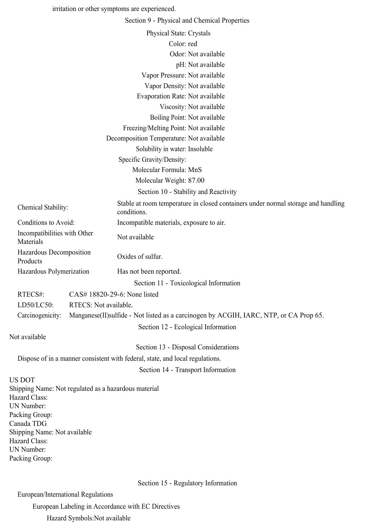|                                                      |                       | irritation or other symptoms are experienced.                                                    |  |
|------------------------------------------------------|-----------------------|--------------------------------------------------------------------------------------------------|--|
|                                                      |                       | Section 9 - Physical and Chemical Properties                                                     |  |
|                                                      |                       | <b>Physical State: Crystals</b>                                                                  |  |
|                                                      |                       | Color: red                                                                                       |  |
|                                                      |                       | Odor: Not available                                                                              |  |
|                                                      |                       | pH: Not available                                                                                |  |
|                                                      |                       | Vapor Pressure: Not available                                                                    |  |
|                                                      |                       | Vapor Density: Not available                                                                     |  |
|                                                      |                       | Evaporation Rate: Not available                                                                  |  |
|                                                      |                       | Viscosity: Not available                                                                         |  |
|                                                      |                       | Boiling Point: Not available                                                                     |  |
|                                                      |                       | Freezing/Melting Point: Not available                                                            |  |
|                                                      |                       | Decomposition Temperature: Not available                                                         |  |
|                                                      |                       | Solubility in water: Insoluble                                                                   |  |
|                                                      |                       | Specific Gravity/Density:                                                                        |  |
|                                                      |                       | Molecular Formula: MnS                                                                           |  |
|                                                      |                       | Molecular Weight: 87.00                                                                          |  |
|                                                      |                       | Section 10 - Stability and Reactivity                                                            |  |
| Chemical Stability:                                  |                       | Stable at room temperature in closed containers under normal storage and handling<br>conditions. |  |
| Conditions to Avoid:                                 |                       | Incompatible materials, exposure to air.                                                         |  |
| Incompatibilities with Other<br>Materials            |                       | Not available                                                                                    |  |
| Hazardous Decomposition<br>Products                  |                       | Oxides of sulfur.                                                                                |  |
| Hazardous Polymerization                             |                       | Has not been reported.                                                                           |  |
|                                                      |                       | Section 11 - Toxicological Information                                                           |  |
| RTECS#:                                              |                       | CAS# 18820-29-6: None listed                                                                     |  |
| LD50/LC50:                                           | RTECS: Not available. |                                                                                                  |  |
| Carcinogenicity:                                     |                       | Manganese (II) sulfide - Not listed as a carcinogen by ACGIH, IARC, NTP, or CA Prop 65.          |  |
|                                                      |                       | Section 12 - Ecological Information                                                              |  |
| Not available                                        |                       |                                                                                                  |  |
|                                                      |                       | Section 13 - Disposal Considerations                                                             |  |
|                                                      |                       | Dispose of in a manner consistent with federal, state, and local regulations.                    |  |
|                                                      |                       | Section 14 - Transport Information                                                               |  |
| <b>US DOT</b>                                        |                       |                                                                                                  |  |
| Shipping Name: Not regulated as a hazardous material |                       |                                                                                                  |  |
| Hazard Class:                                        |                       |                                                                                                  |  |
| UN Number:<br>Packing Group:                         |                       |                                                                                                  |  |
| Canada TDG                                           |                       |                                                                                                  |  |
| Shipping Name: Not available                         |                       |                                                                                                  |  |
| Hazard Class:                                        |                       |                                                                                                  |  |
| UN Number:<br>Packing Group:                         |                       |                                                                                                  |  |
|                                                      |                       |                                                                                                  |  |
|                                                      |                       |                                                                                                  |  |
|                                                      |                       | Section 15 - Regulatory Information                                                              |  |

Section 15 - Regulatory Information

European/International Regulations

European Labeling in Accordance with EC Directives

Hazard Symbols:Not available